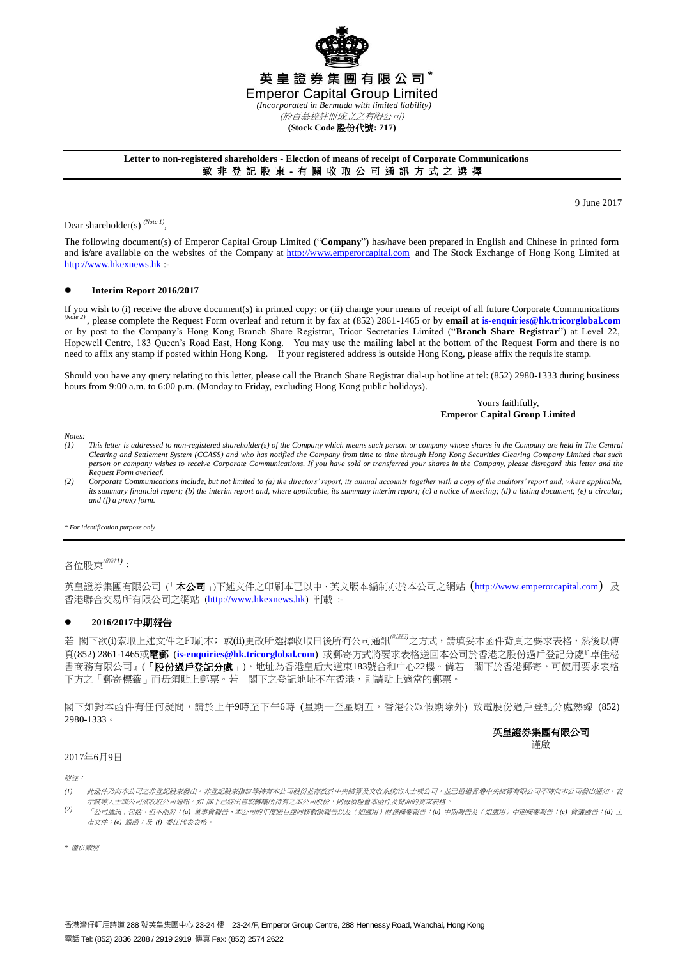

## **Letter to non-registered shareholders - Election of means of receipt of Corporate Communications** 致 非 登 記 股 東 - 有 關 收 取 公 司 通 訊 方 式 之 選 擇

9 June 2017

Dear shareholder(s)<sup>(Note 1)</sup>,

The following document(s) of Emperor Capital Group Limited ("**Company**") has/have been prepared in English and Chinese in printed form and is/are available on the websites of the Company at [http://www.emperorcapital.com](http://www.emperorcapital.com/) and The Stock Exchange of Hong Kong Limited at [http://www.hkexnews.hk](http://www.hkexnews.hk/) :-

### **Interim Report 2016/2017**

If you wish to (i) receive the above document(s) in printed copy; or (ii) change your means of receipt of all future Corporate Communications *(Note 2)* , please complete the Request Form overleaf and return it by fax at (852) 2861-1465 or by **email at [is-enquiries@hk.tricorglobal.com](mailto:is-ecom@hk.tricorglobal.com)** or by post to the Company's Hong Kong Branch Share Registrar, Tricor Secretaries Limited ("**Branch Share Registrar**") at Level 22, Hopewell Centre, 183 Queen's Road East, Hong Kong. You may use the mailing label at the bottom of the Request Form and there is no need to affix any stamp if posted within Hong Kong. If your registered address is outside Hong Kong, please affix the requisite stamp.

Should you have any query relating to this letter, please call the Branch Share Registrar dial-up hotline at tel: (852) 2980-1333 during business hours from 9:00 a.m. to 6:00 p.m. (Monday to Friday, excluding Hong Kong public holidays).

> Yours faithfully, **Emperor Capital Group Limited**

*Notes:*

- *(1) This letter is addressed to non-registered shareholder(s) of the Company which means such person or company whose shares in the Company are held in The Central Clearing and Settlement System (CCASS) and who has notified the Company from time to time through Hong Kong Securities Clearing Company Limited that such person or company wishes to receive Corporate Communications. If you have sold or transferred your shares in the Company, please disregard this letter and the Request Form overleaf.*
- *(2) Corporate Communications include, but not limited to (a) the directors' report, its annual accounts together with a copy of the auditors' report and, where applicable, its summary financial report; (b) the interim report and, where applicable, its summary interim report; (c) a notice of meeting; (d) a listing document; (e) a circular; and (f) a proxy form.*

*\* For identification purpose only*

各位股東(附註*1)*:

英皇證券集團有限公司(「本公司」)下述文件之印刷本已以中、英文版本編制亦於本公司之網站 ([http://www.emperorcapital.com](http://www.emperorcapital.com/)) 及 香港聯合交易所有限公司之網站 ([http://www.hkexnews.hk\)](http://www.hkexnews.hk/) 刊載 :-

# **2016/2017**中期報告

若 閣下欲(i)索取上述文件之印刷本;或(ii)更改所選擇收取日後所有公司通訊<sup>(*附註)*)</sup>之方式,請填妥本函件背頁之要求表格,然後以傳 真(852) 2861-1465或電郵 (**[is-enquiries@hk.tricorglobal.com](mailto:is-ecom@hk.tricorglobal.com)**) 或郵寄方式將要求表格送回本公司於香港之股份過戶登記分處『卓佳秘 書商務有限公司』(「**股份過戶登記分處**」),地址為香港皇后大道東183號合和中心22樓。倘若 閣下於香港郵寄,可使用要求表格 下方之「郵寄標籤」而毋須貼上郵票。若 閣下之登記地址不在香港,則請貼上適當的郵票。

閣下如對本函件有任何疑問,請於上午9時至下午6時 (星期一至星期五,香港公眾假期除外) 致電股份過戶登記分處熱線 (852) 2980-1333。

# 英皇證券集團有限公司 謹啟

#### 2017年6月9日

附註:

- *(1)* 此函件乃向本公司之非登記股東發出。非登記股東指該等持有本公司股份並存放於中央結算及交收系統的人士或公司,应尼透過香港中央結算有限公司不時向本公司發出通知,表 示該等人士或公司欲收取公司通訊。如 閣下已經出售或轉讓所持有之本公司股份,則毋須理會本函件及背面的要求表格。
- *(2)* 「公司通訊」包括,但不限於:*(a)* 董事會報告、本公司的年度賬目連同核數師報告以及(如適用)財務摘要報告;*(b)* 中期報告及(如適用)中期摘要報告;*(c)* 會議通告;*(d)* 上 市文件;*(e)* 通函;及 *(f)* 委任代表表格。

*\** 僅供識別